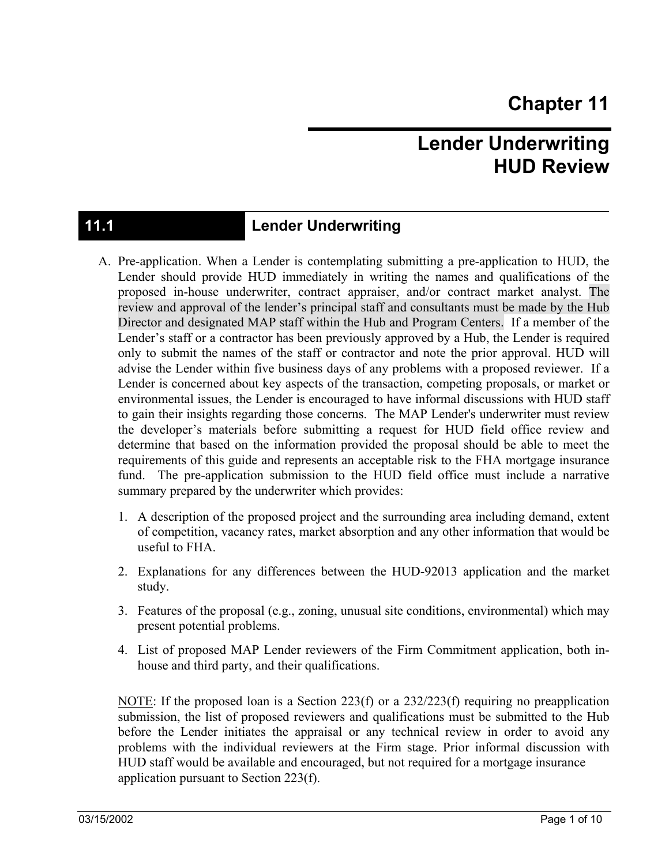## **Lender Underwriting HUD Review**

## **11.1 Lender Underwriting**

- A. Pre-application. When a Lender is contemplating submitting a pre-application to HUD, the Lender should provide HUD immediately in writing the names and qualifications of the proposed in-house underwriter, contract appraiser, and/or contract market analyst. The review and approval of the lender's principal staff and consultants must be made by the Hub Director and designated MAP staff within the Hub and Program Centers. If a member of the Lender's staff or a contractor has been previously approved by a Hub, the Lender is required only to submit the names of the staff or contractor and note the prior approval. HUD will advise the Lender within five business days of any problems with a proposed reviewer. If a Lender is concerned about key aspects of the transaction, competing proposals, or market or environmental issues, the Lender is encouraged to have informal discussions with HUD staff to gain their insights regarding those concerns. The MAP Lender's underwriter must review the developer's materials before submitting a request for HUD field office review and determine that based on the information provided the proposal should be able to meet the requirements of this guide and represents an acceptable risk to the FHA mortgage insurance fund. The pre-application submission to the HUD field office must include a narrative summary prepared by the underwriter which provides:
	- 1. A description of the proposed project and the surrounding area including demand, extent of competition, vacancy rates, market absorption and any other information that would be useful to FHA.
	- 2. Explanations for any differences between the HUD-92013 application and the market study.
	- 3. Features of the proposal (e.g., zoning, unusual site conditions, environmental) which may present potential problems.
	- 4. List of proposed MAP Lender reviewers of the Firm Commitment application, both inhouse and third party, and their qualifications.

NOTE: If the proposed loan is a Section 223(f) or a  $232/223(f)$  requiring no preapplication submission, the list of proposed reviewers and qualifications must be submitted to the Hub before the Lender initiates the appraisal or any technical review in order to avoid any problems with the individual reviewers at the Firm stage. Prior informal discussion with HUD staff would be available and encouraged, but not required for a mortgage insurance application pursuant to Section 223(f).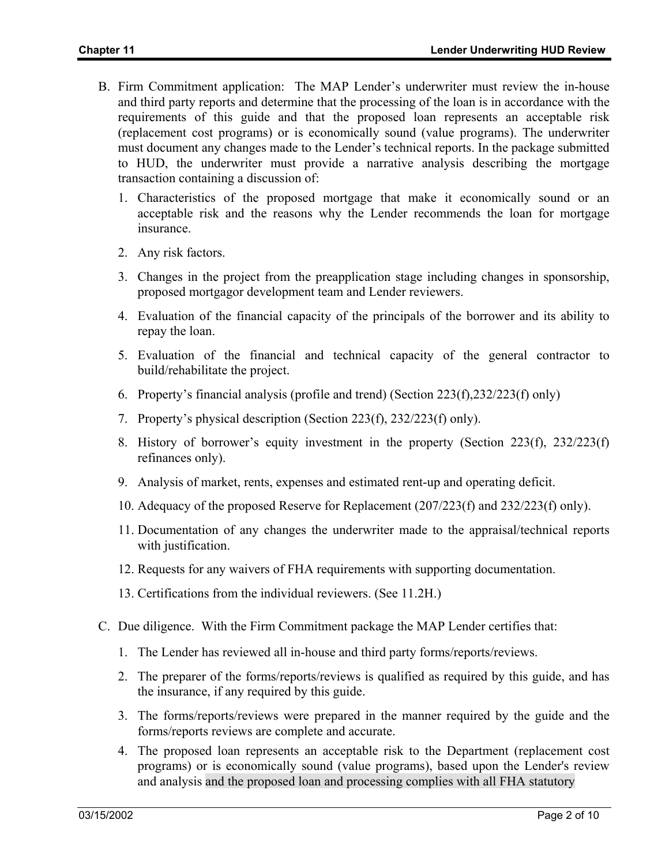- B. Firm Commitment application: The MAP Lender's underwriter must review the in-house and third party reports and determine that the processing of the loan is in accordance with the requirements of this guide and that the proposed loan represents an acceptable risk (replacement cost programs) or is economically sound (value programs). The underwriter must document any changes made to the Lender's technical reports. In the package submitted to HUD, the underwriter must provide a narrative analysis describing the mortgage transaction containing a discussion of:
	- 1. Characteristics of the proposed mortgage that make it economically sound or an acceptable risk and the reasons why the Lender recommends the loan for mortgage insurance.
	- 2. Any risk factors.
	- 3. Changes in the project from the preapplication stage including changes in sponsorship, proposed mortgagor development team and Lender reviewers.
	- 4. Evaluation of the financial capacity of the principals of the borrower and its ability to repay the loan.
	- 5. Evaluation of the financial and technical capacity of the general contractor to build/rehabilitate the project.
	- 6. Property's financial analysis (profile and trend) (Section 223(f),232/223(f) only)
	- 7. Property's physical description (Section 223(f), 232/223(f) only).
	- 8. History of borrower's equity investment in the property (Section 223(f), 232/223(f) refinances only).
	- 9. Analysis of market, rents, expenses and estimated rent-up and operating deficit.
	- 10. Adequacy of the proposed Reserve for Replacement (207/223(f) and 232/223(f) only).
	- 11. Documentation of any changes the underwriter made to the appraisal/technical reports with justification.
	- 12. Requests for any waivers of FHA requirements with supporting documentation.
	- 13. Certifications from the individual reviewers. (See 11.2H.)
- C. Due diligence. With the Firm Commitment package the MAP Lender certifies that:
	- 1. The Lender has reviewed all in-house and third party forms/reports/reviews.
	- 2. The preparer of the forms/reports/reviews is qualified as required by this guide, and has the insurance, if any required by this guide.
	- 3. The forms/reports/reviews were prepared in the manner required by the guide and the forms/reports reviews are complete and accurate.
	- 4. The proposed loan represents an acceptable risk to the Department (replacement cost programs) or is economically sound (value programs), based upon the Lender's review and analysis and the proposed loan and processing complies with all FHA statutory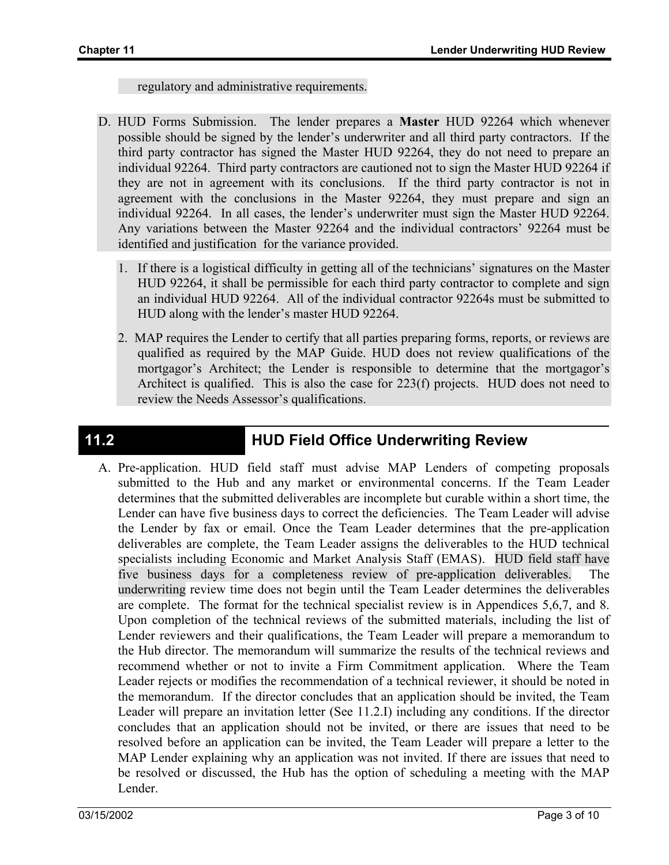regulatory and administrative requirements.

- D. HUD Forms Submission. The lender prepares a **Master** HUD 92264 which whenever possible should be signed by the lender's underwriter and all third party contractors. If the third party contractor has signed the Master HUD 92264, they do not need to prepare an individual 92264. Third party contractors are cautioned not to sign the Master HUD 92264 if they are not in agreement with its conclusions. If the third party contractor is not in agreement with the conclusions in the Master 92264, they must prepare and sign an individual 92264. In all cases, the lender's underwriter must sign the Master HUD 92264. Any variations between the Master 92264 and the individual contractors' 92264 must be identified and justification for the variance provided.
	- 1. If there is a logistical difficulty in getting all of the technicians' signatures on the Master HUD 92264, it shall be permissible for each third party contractor to complete and sign an individual HUD 92264. All of the individual contractor 92264s must be submitted to HUD along with the lender's master HUD 92264.
	- 2. MAP requires the Lender to certify that all parties preparing forms, reports, or reviews are qualified as required by the MAP Guide. HUD does not review qualifications of the mortgagor's Architect; the Lender is responsible to determine that the mortgagor's Architect is qualified. This is also the case for 223(f) projects. HUD does not need to review the Needs Assessor's qualifications.

## **11.2 HUD Field Office Underwriting Review**

A. Pre-application. HUD field staff must advise MAP Lenders of competing proposals submitted to the Hub and any market or environmental concerns. If the Team Leader determines that the submitted deliverables are incomplete but curable within a short time, the Lender can have five business days to correct the deficiencies. The Team Leader will advise the Lender by fax or email. Once the Team Leader determines that the pre-application deliverables are complete, the Team Leader assigns the deliverables to the HUD technical specialists including Economic and Market Analysis Staff (EMAS). HUD field staff have five business days for a completeness review of pre-application deliverables. The underwriting review time does not begin until the Team Leader determines the deliverables are complete. The format for the technical specialist review is in Appendices 5,6,7, and 8. Upon completion of the technical reviews of the submitted materials, including the list of Lender reviewers and their qualifications, the Team Leader will prepare a memorandum to the Hub director. The memorandum will summarize the results of the technical reviews and recommend whether or not to invite a Firm Commitment application. Where the Team Leader rejects or modifies the recommendation of a technical reviewer, it should be noted in the memorandum. If the director concludes that an application should be invited, the Team Leader will prepare an invitation letter (See 11.2.I) including any conditions. If the director concludes that an application should not be invited, or there are issues that need to be resolved before an application can be invited, the Team Leader will prepare a letter to the MAP Lender explaining why an application was not invited. If there are issues that need to be resolved or discussed, the Hub has the option of scheduling a meeting with the MAP Lender.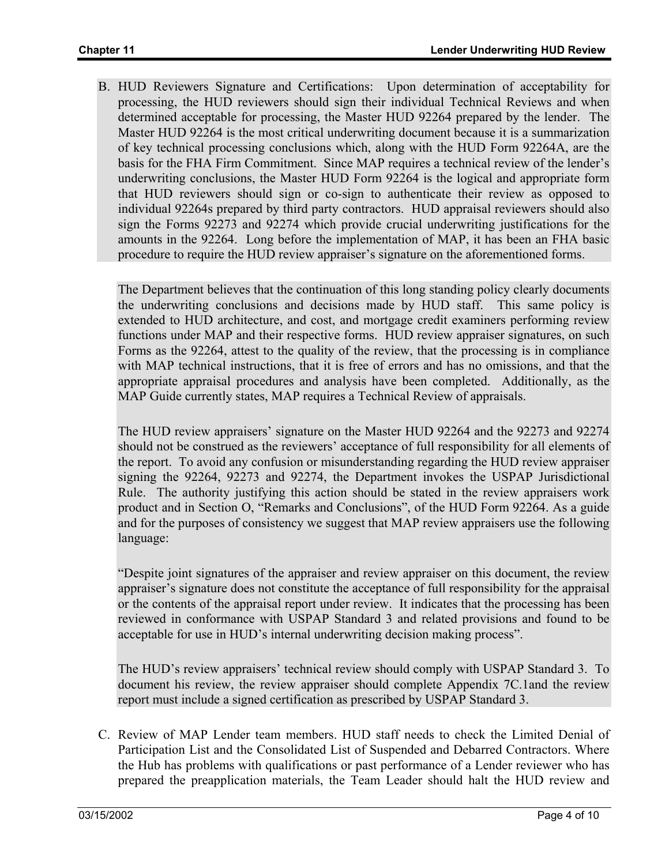B. HUD Reviewers Signature and Certifications: Upon determination of acceptability for processing, the HUD reviewers should sign their individual Technical Reviews and when determined acceptable for processing, the Master HUD 92264 prepared by the lender. The Master HUD 92264 is the most critical underwriting document because it is a summarization of key technical processing conclusions which, along with the HUD Form 92264A, are the basis for the FHA Firm Commitment. Since MAP requires a technical review of the lender's underwriting conclusions, the Master HUD Form 92264 is the logical and appropriate form that HUD reviewers should sign or co-sign to authenticate their review as opposed to individual 92264s prepared by third party contractors. HUD appraisal reviewers should also sign the Forms 92273 and 92274 which provide crucial underwriting justifications for the amounts in the 92264. Long before the implementation of MAP, it has been an FHA basic procedure to require the HUD review appraiser's signature on the aforementioned forms.

The Department believes that the continuation of this long standing policy clearly documents the underwriting conclusions and decisions made by HUD staff. This same policy is extended to HUD architecture, and cost, and mortgage credit examiners performing review functions under MAP and their respective forms. HUD review appraiser signatures, on such Forms as the 92264, attest to the quality of the review, that the processing is in compliance with MAP technical instructions, that it is free of errors and has no omissions, and that the appropriate appraisal procedures and analysis have been completed. Additionally, as the MAP Guide currently states, MAP requires a Technical Review of appraisals.

The HUD review appraisers' signature on the Master HUD 92264 and the 92273 and 92274 should not be construed as the reviewers' acceptance of full responsibility for all elements of the report. To avoid any confusion or misunderstanding regarding the HUD review appraiser signing the 92264, 92273 and 92274, the Department invokes the USPAP Jurisdictional Rule. The authority justifying this action should be stated in the review appraisers work product and in Section O, "Remarks and Conclusions", of the HUD Form 92264. As a guide and for the purposes of consistency we suggest that MAP review appraisers use the following language:

"Despite joint signatures of the appraiser and review appraiser on this document, the review appraiser's signature does not constitute the acceptance of full responsibility for the appraisal or the contents of the appraisal report under review. It indicates that the processing has been reviewed in conformance with USPAP Standard 3 and related provisions and found to be acceptable for use in HUD's internal underwriting decision making process".

The HUD's review appraisers' technical review should comply with USPAP Standard 3. To document his review, the review appraiser should complete Appendix 7C.1and the review report must include a signed certification as prescribed by USPAP Standard 3.

C. Review of MAP Lender team members. HUD staff needs to check the Limited Denial of Participation List and the Consolidated List of Suspended and Debarred Contractors. Where the Hub has problems with qualifications or past performance of a Lender reviewer who has prepared the preapplication materials, the Team Leader should halt the HUD review and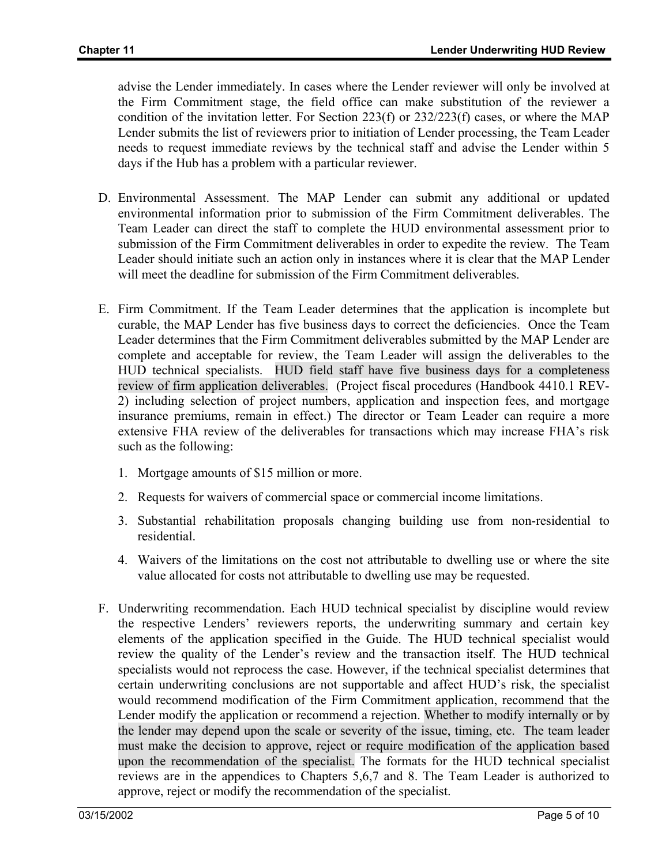advise the Lender immediately. In cases where the Lender reviewer will only be involved at the Firm Commitment stage, the field office can make substitution of the reviewer a condition of the invitation letter. For Section 223(f) or 232/223(f) cases, or where the MAP Lender submits the list of reviewers prior to initiation of Lender processing, the Team Leader needs to request immediate reviews by the technical staff and advise the Lender within 5 days if the Hub has a problem with a particular reviewer.

- D. Environmental Assessment. The MAP Lender can submit any additional or updated environmental information prior to submission of the Firm Commitment deliverables. The Team Leader can direct the staff to complete the HUD environmental assessment prior to submission of the Firm Commitment deliverables in order to expedite the review. The Team Leader should initiate such an action only in instances where it is clear that the MAP Lender will meet the deadline for submission of the Firm Commitment deliverables.
- E. Firm Commitment. If the Team Leader determines that the application is incomplete but curable, the MAP Lender has five business days to correct the deficiencies. Once the Team Leader determines that the Firm Commitment deliverables submitted by the MAP Lender are complete and acceptable for review, the Team Leader will assign the deliverables to the HUD technical specialists. HUD field staff have five business days for a completeness review of firm application deliverables. (Project fiscal procedures (Handbook 4410.1 REV-2) including selection of project numbers, application and inspection fees, and mortgage insurance premiums, remain in effect.) The director or Team Leader can require a more extensive FHA review of the deliverables for transactions which may increase FHA's risk such as the following:
	- 1. Mortgage amounts of \$15 million or more.
	- 2. Requests for waivers of commercial space or commercial income limitations.
	- 3. Substantial rehabilitation proposals changing building use from non-residential to residential.
	- 4. Waivers of the limitations on the cost not attributable to dwelling use or where the site value allocated for costs not attributable to dwelling use may be requested.
- F. Underwriting recommendation. Each HUD technical specialist by discipline would review the respective Lenders' reviewers reports, the underwriting summary and certain key elements of the application specified in the Guide. The HUD technical specialist would review the quality of the Lender's review and the transaction itself. The HUD technical specialists would not reprocess the case. However, if the technical specialist determines that certain underwriting conclusions are not supportable and affect HUD's risk, the specialist would recommend modification of the Firm Commitment application, recommend that the Lender modify the application or recommend a rejection. Whether to modify internally or by the lender may depend upon the scale or severity of the issue, timing, etc. The team leader must make the decision to approve, reject or require modification of the application based upon the recommendation of the specialist. The formats for the HUD technical specialist reviews are in the appendices to Chapters 5,6,7 and 8. The Team Leader is authorized to approve, reject or modify the recommendation of the specialist.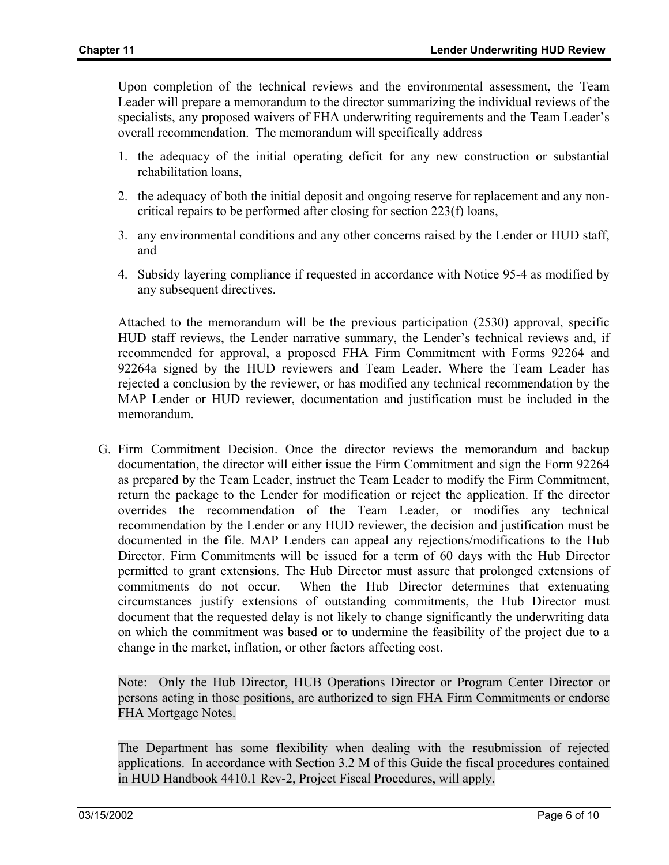Upon completion of the technical reviews and the environmental assessment, the Team Leader will prepare a memorandum to the director summarizing the individual reviews of the specialists, any proposed waivers of FHA underwriting requirements and the Team Leader's overall recommendation. The memorandum will specifically address

- 1. the adequacy of the initial operating deficit for any new construction or substantial rehabilitation loans,
- 2. the adequacy of both the initial deposit and ongoing reserve for replacement and any noncritical repairs to be performed after closing for section 223(f) loans,
- 3. any environmental conditions and any other concerns raised by the Lender or HUD staff, and
- 4. Subsidy layering compliance if requested in accordance with Notice 95-4 as modified by any subsequent directives.

Attached to the memorandum will be the previous participation (2530) approval, specific HUD staff reviews, the Lender narrative summary, the Lender's technical reviews and, if recommended for approval, a proposed FHA Firm Commitment with Forms 92264 and 92264a signed by the HUD reviewers and Team Leader. Where the Team Leader has rejected a conclusion by the reviewer, or has modified any technical recommendation by the MAP Lender or HUD reviewer, documentation and justification must be included in the memorandum.

G. Firm Commitment Decision. Once the director reviews the memorandum and backup documentation, the director will either issue the Firm Commitment and sign the Form 92264 as prepared by the Team Leader, instruct the Team Leader to modify the Firm Commitment, return the package to the Lender for modification or reject the application. If the director overrides the recommendation of the Team Leader, or modifies any technical recommendation by the Lender or any HUD reviewer, the decision and justification must be documented in the file. MAP Lenders can appeal any rejections/modifications to the Hub Director. Firm Commitments will be issued for a term of 60 days with the Hub Director permitted to grant extensions. The Hub Director must assure that prolonged extensions of commitments do not occur. When the Hub Director determines that extenuating circumstances justify extensions of outstanding commitments, the Hub Director must document that the requested delay is not likely to change significantly the underwriting data on which the commitment was based or to undermine the feasibility of the project due to a change in the market, inflation, or other factors affecting cost.

Note: Only the Hub Director, HUB Operations Director or Program Center Director or persons acting in those positions, are authorized to sign FHA Firm Commitments or endorse FHA Mortgage Notes.

The Department has some flexibility when dealing with the resubmission of rejected applications. In accordance with Section 3.2 M of this Guide the fiscal procedures contained in HUD Handbook 4410.1 Rev-2, Project Fiscal Procedures, will apply.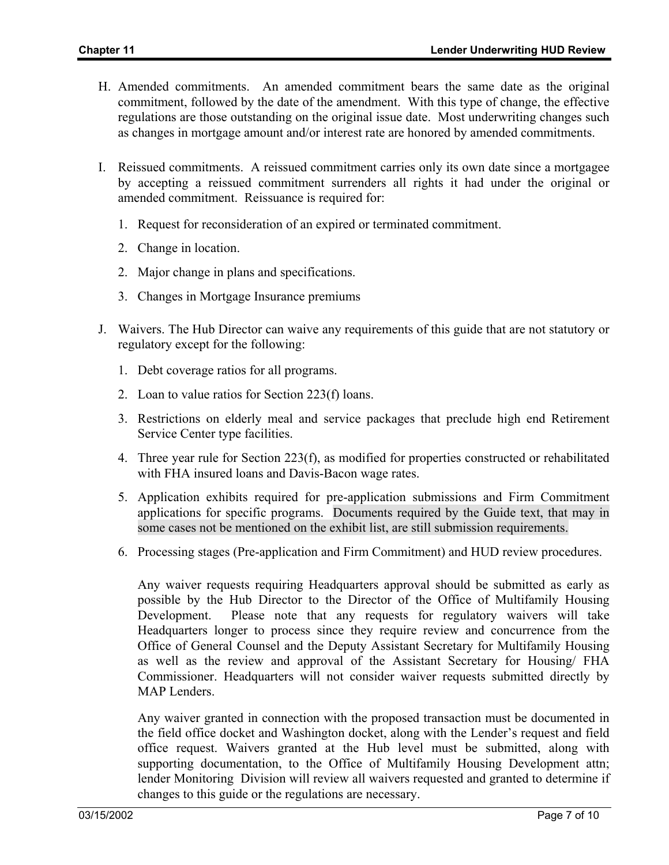- H. Amended commitments. An amended commitment bears the same date as the original commitment, followed by the date of the amendment. With this type of change, the effective regulations are those outstanding on the original issue date. Most underwriting changes such as changes in mortgage amount and/or interest rate are honored by amended commitments.
- I. Reissued commitments. A reissued commitment carries only its own date since a mortgagee by accepting a reissued commitment surrenders all rights it had under the original or amended commitment. Reissuance is required for:
	- 1. Request for reconsideration of an expired or terminated commitment.
	- 2. Change in location.
	- 2. Major change in plans and specifications.
	- 3. Changes in Mortgage Insurance premiums
- J. Waivers. The Hub Director can waive any requirements of this guide that are not statutory or regulatory except for the following:
	- 1. Debt coverage ratios for all programs.
	- 2. Loan to value ratios for Section 223(f) loans.
	- 3. Restrictions on elderly meal and service packages that preclude high end Retirement Service Center type facilities.
	- 4. Three year rule for Section 223(f), as modified for properties constructed or rehabilitated with FHA insured loans and Davis-Bacon wage rates.
	- 5. Application exhibits required for pre-application submissions and Firm Commitment applications for specific programs. Documents required by the Guide text, that may in some cases not be mentioned on the exhibit list, are still submission requirements.
	- 6. Processing stages (Pre-application and Firm Commitment) and HUD review procedures.

Any waiver requests requiring Headquarters approval should be submitted as early as possible by the Hub Director to the Director of the Office of Multifamily Housing Development. Please note that any requests for regulatory waivers will take Headquarters longer to process since they require review and concurrence from the Office of General Counsel and the Deputy Assistant Secretary for Multifamily Housing as well as the review and approval of the Assistant Secretary for Housing/ FHA Commissioner. Headquarters will not consider waiver requests submitted directly by MAP Lenders.

Any waiver granted in connection with the proposed transaction must be documented in the field office docket and Washington docket, along with the Lender's request and field office request. Waivers granted at the Hub level must be submitted, along with supporting documentation, to the Office of Multifamily Housing Development attn; lender Monitoring Division will review all waivers requested and granted to determine if changes to this guide or the regulations are necessary.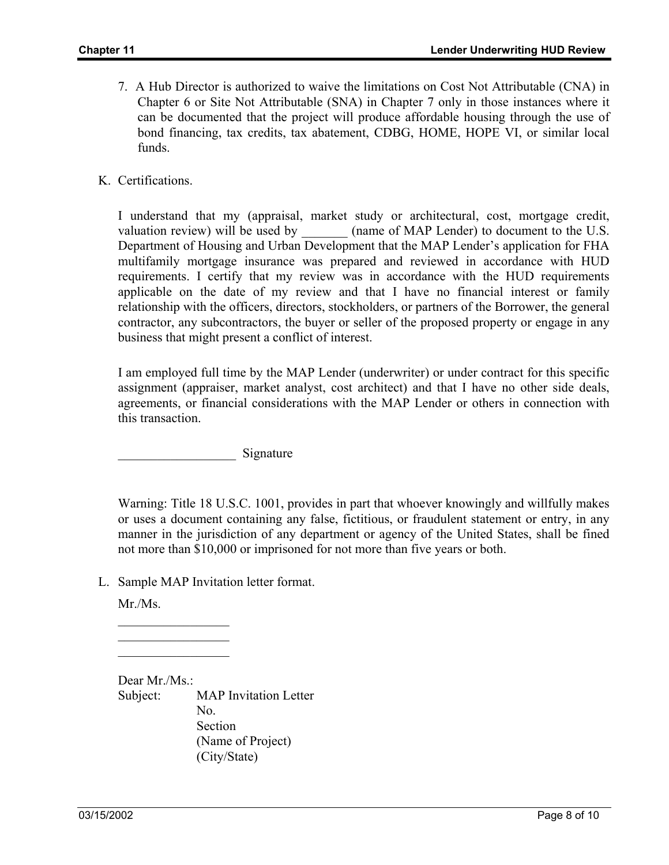- 7. A Hub Director is authorized to waive the limitations on Cost Not Attributable (CNA) in Chapter 6 or Site Not Attributable (SNA) in Chapter 7 only in those instances where it can be documented that the project will produce affordable housing through the use of bond financing, tax credits, tax abatement, CDBG, HOME, HOPE VI, or similar local funds.
- K. Certifications.

I understand that my (appraisal, market study or architectural, cost, mortgage credit, valuation review) will be used by  $\qquad \qquad$  (name of MAP Lender) to document to the U.S. Department of Housing and Urban Development that the MAP Lender's application for FHA multifamily mortgage insurance was prepared and reviewed in accordance with HUD requirements. I certify that my review was in accordance with the HUD requirements applicable on the date of my review and that I have no financial interest or family relationship with the officers, directors, stockholders, or partners of the Borrower, the general contractor, any subcontractors, the buyer or seller of the proposed property or engage in any business that might present a conflict of interest.

I am employed full time by the MAP Lender (underwriter) or under contract for this specific assignment (appraiser, market analyst, cost architect) and that I have no other side deals, agreements, or financial considerations with the MAP Lender or others in connection with this transaction.

\_\_\_\_\_\_\_\_\_\_\_\_\_\_\_\_\_\_ Signature

Warning: Title 18 U.S.C. 1001, provides in part that whoever knowingly and willfully makes or uses a document containing any false, fictitious, or fraudulent statement or entry, in any manner in the jurisdiction of any department or agency of the United States, shall be fined not more than \$10,000 or imprisoned for not more than five years or both.

L. Sample MAP Invitation letter format.

Mr./Ms.

 $\frac{1}{2}$  $\mathcal{L}_\text{max}$  $\frac{1}{2}$ 

Dear Mr./Ms.: Subject: MAP Invitation Letter No. Section (Name of Project) (City/State)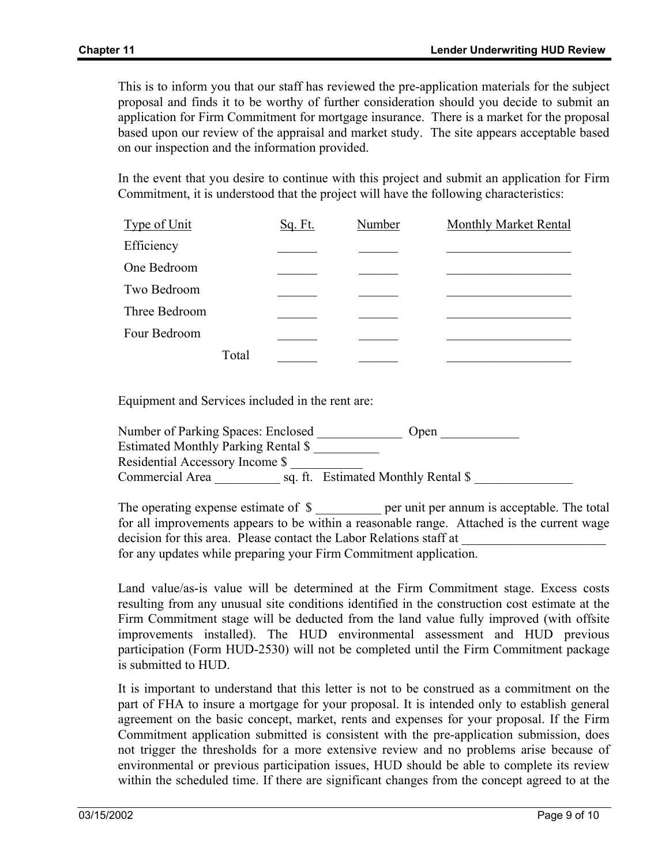This is to inform you that our staff has reviewed the pre-application materials for the subject proposal and finds it to be worthy of further consideration should you decide to submit an application for Firm Commitment for mortgage insurance. There is a market for the proposal based upon our review of the appraisal and market study. The site appears acceptable based on our inspection and the information provided.

In the event that you desire to continue with this project and submit an application for Firm Commitment, it is understood that the project will have the following characteristics:

| Type of Unit  |       | Sq. Ft. | Number | <b>Monthly Market Rental</b> |
|---------------|-------|---------|--------|------------------------------|
| Efficiency    |       |         |        |                              |
| One Bedroom   |       |         |        |                              |
| Two Bedroom   |       |         |        |                              |
| Three Bedroom |       |         |        |                              |
| Four Bedroom  |       |         |        |                              |
|               | Total |         |        |                              |

Equipment and Services included in the rent are:

Number of Parking Spaces: Enclosed \_\_\_\_\_\_\_\_\_\_\_\_\_\_ Open Estimated Monthly Parking Rental \$ \_\_\_\_\_\_\_\_\_\_ Residential Accessory Income \$ \_\_\_\_\_\_\_\_\_\_\_ Commercial Area \_\_\_\_\_\_\_\_\_\_\_\_\_\_ sq. ft. Estimated Monthly Rental \$

The operating expense estimate of  $\frac{1}{2}$  per unit per annum is acceptable. The total for all improvements appears to be within a reasonable range. Attached is the current wage decision for this area. Please contact the Labor Relations staff at for any updates while preparing your Firm Commitment application.

Land value/as-is value will be determined at the Firm Commitment stage. Excess costs resulting from any unusual site conditions identified in the construction cost estimate at the Firm Commitment stage will be deducted from the land value fully improved (with offsite improvements installed). The HUD environmental assessment and HUD previous participation (Form HUD-2530) will not be completed until the Firm Commitment package is submitted to HUD.

It is important to understand that this letter is not to be construed as a commitment on the part of FHA to insure a mortgage for your proposal. It is intended only to establish general agreement on the basic concept, market, rents and expenses for your proposal. If the Firm Commitment application submitted is consistent with the pre-application submission, does not trigger the thresholds for a more extensive review and no problems arise because of environmental or previous participation issues, HUD should be able to complete its review within the scheduled time. If there are significant changes from the concept agreed to at the